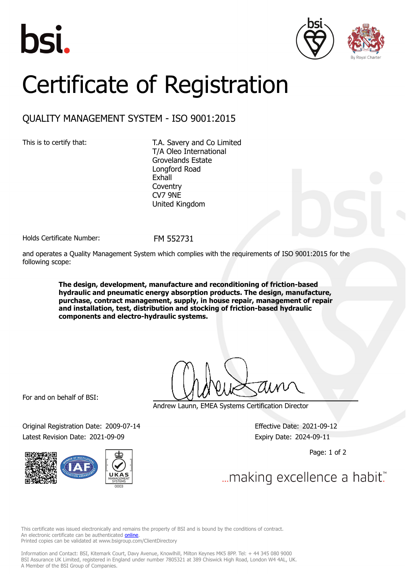





## Certificate of Registration

## QUALITY MANAGEMENT SYSTEM - ISO 9001:2015

This is to certify that: T.A. Savery and Co Limited T/A Oleo International Grovelands Estate Longford Road Exhall **Coventry** CV7 9NE United Kingdom

Holds Certificate Number: FM 552731

and operates a Quality Management System which complies with the requirements of ISO 9001:2015 for the following scope:

> **The design, development, manufacture and reconditioning of friction-based hydraulic and pneumatic energy absorption products. The design, manufacture, purchase, contract management, supply, in house repair, management of repair and installation, test, distribution and stocking of friction-based hydraulic components and electro-hydraulic systems.**

For and on behalf of BSI:

Original Registration Date: 2009-07-14 Effective Date: 2021-09-12 Latest Revision Date: 2021-09-09 expiry Date: 2024-09-11



Andrew Launn, EMEA Systems Certification Director

Page: 1 of 2

... making excellence a habit.

This certificate was issued electronically and remains the property of BSI and is bound by the conditions of contract. An electronic certificate can be authenticated **[online](https://pgplus.bsigroup.com/CertificateValidation/CertificateValidator.aspx?CertificateNumber=FM+552731&ReIssueDate=09%2f09%2f2021&Template=uk)**. Printed copies can be validated at www.bsigroup.com/ClientDirectory

Information and Contact: BSI, Kitemark Court, Davy Avenue, Knowlhill, Milton Keynes MK5 8PP. Tel: + 44 345 080 9000 BSI Assurance UK Limited, registered in England under number 7805321 at 389 Chiswick High Road, London W4 4AL, UK. A Member of the BSI Group of Companies.